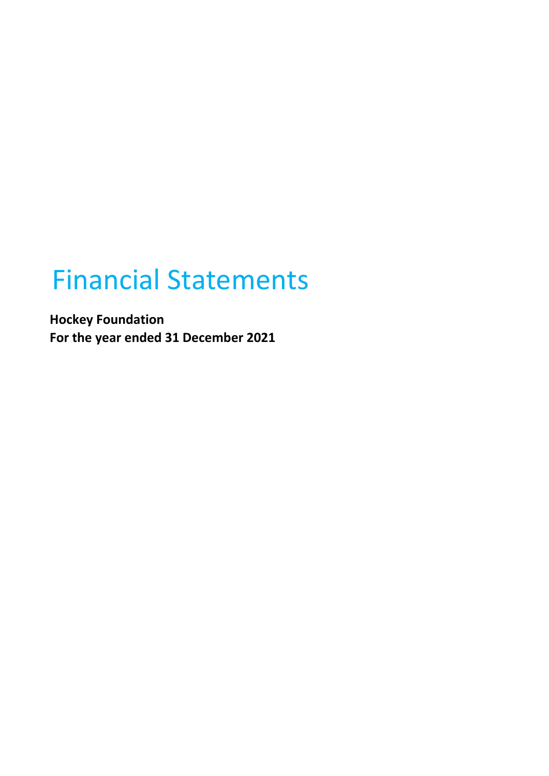# Financial Statements

**Hockey Foundation For the year ended 31 December 2021**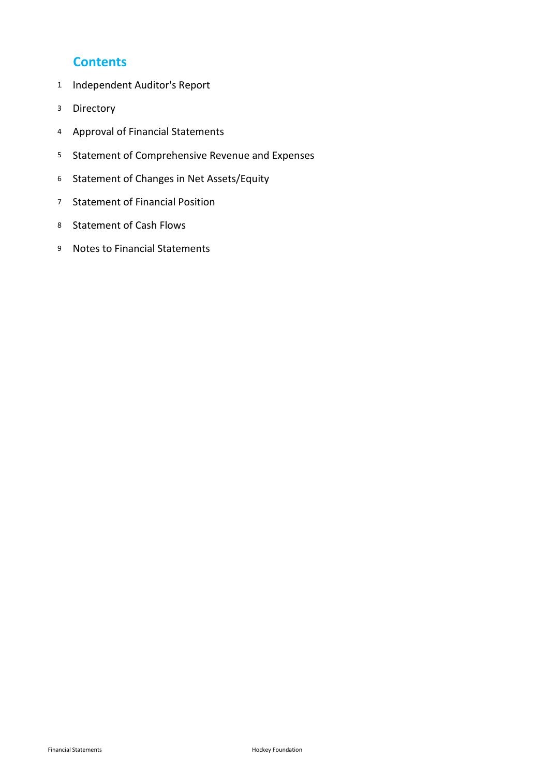## **Contents**

- Independent Auditor's Report
- Directory
- Approval of Financial Statements
- Statement of Comprehensive Revenue and Expenses
- Statement of Changes in Net Assets/Equity
- Statement of Financial Position
- Statement of Cash Flows
- Notes to Financial Statements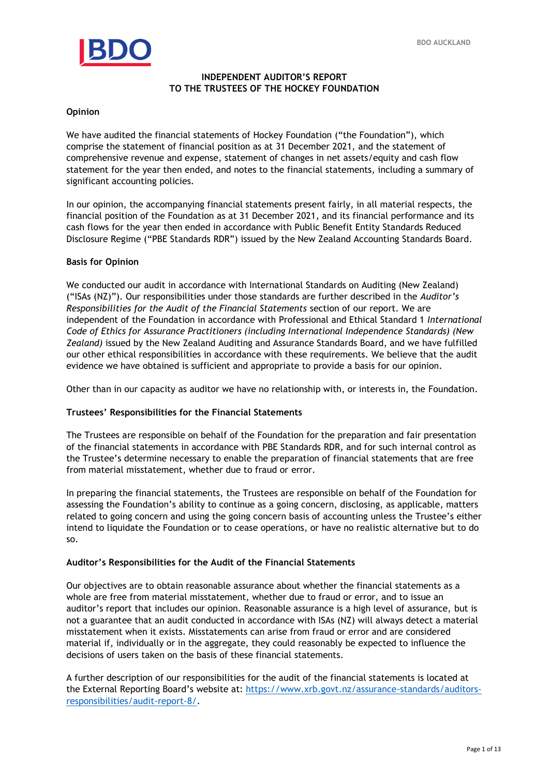

## **INDEPENDENT AUDITOR'S REPORT TO THE TRUSTEES OF THE HOCKEY FOUNDATION**

### **Opinion**

comprise the statement of financial position as at 31 December 2021, and the statement of comprehensive revenue and expense, statement of changes in net assets/equity and cash flow We have audited the financial statements of Hockey Foundation ("the Foundation"), which comprehensive revenue and expense, statement of changes in net assets/equity and cash flow statement for the year then ended, and notes to the financial statements, including a summary of significant accounting policies.

In our opinion, the accompanying financial statements present fairly, in all material respects, the financial position of the Foundation as at 31 December 2021, and its financial performance and its cash flows for the year then ended in accordance with Public Benefit Entity Standards Reduced Disclosure Regime ("PBE Standards RDR") issued by the New Zealand Accounting Standards Board.

### **Basis for Opinion**

We conducted our audit in accordance with International Standards on Auditing (New Zealand) ("ISAs (NZ)"). Our responsibilities under those standards are further described in the *Auditor's Responsibilities for the Audit of the Financial Statements* section of our report. We are independent of the Foundation in accordance with Professional and Ethical Standard 1 *International Code of Ethics for Assurance Practitioners (including International Independence Standards) (New Zealand)* issued by the New Zealand Auditing and Assurance Standards Board, and we have fulfilled our other ethical responsibilities in accordance with these requirements. We believe that the audit evidence we have obtained is sufficient and appropriate to provide a basis for our opinion.

Other than in our capacity as auditor we have no relationship with, or interests in, the Foundation.

## **Trustees' Responsibilities for the Financial Statements**

The Trustees are responsible on behalf of the Foundation for the preparation and fair presentation of the financial statements in accordance with PBE Standards RDR, and for such internal control as the Trustee's determine necessary to enable the preparation of financial statements that are free from material misstatement, whether due to fraud or error.

In preparing the financial statements, the Trustees are responsible on behalf of the Foundation for assessing the Foundation's ability to continue as a going concern, disclosing, as applicable, matters related to going concern and using the going concern basis of accounting unless the Trustee's either intend to liquidate the Foundation or to cease operations, or have no realistic alternative but to do so.

### **Auditor's Responsibilities for the Audit of the Financial Statements**

Our objectives are to obtain reasonable assurance about whether the financial statements as a whole are free from material misstatement, whether due to fraud or error, and to issue an auditor's report that includes our opinion. Reasonable assurance is a high level of assurance, but is not a guarantee that an audit conducted in accordance with ISAs (NZ) will always detect a material misstatement when it exists. Misstatements can arise from fraud or error and are considered material if, individually or in the aggregate, they could reasonably be expected to influence the decisions of users taken on the basis of these financial statements.

A further description of our responsibilities for the audit of the financial statements is located at the External Reporting Board's website at: [https://www.xrb.govt.nz/assurance-standards/auditors](https://www.xrb.govt.nz/assurance-standards/auditors-responsibilities/audit-report-8/)[responsibilities/audit-report-8/.](https://www.xrb.govt.nz/assurance-standards/auditors-responsibilities/audit-report-8/)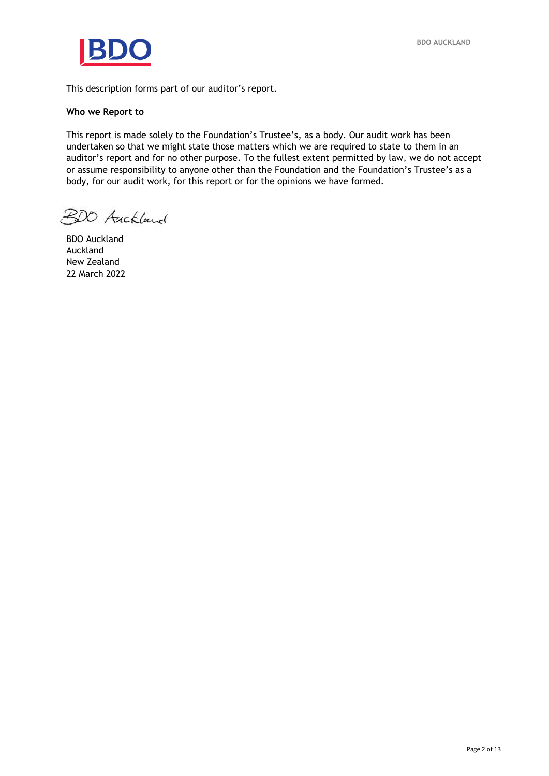

This description forms part of our auditor's report.

### **Who we Report to**

undertaken so that we might state those matters which we are required to state to them in an auditor's report and for no other purpose. To the fullest extent permitted by law, we do not ac This report is made solely to the Foundation's Trustee's, as a body. Our audit work has been auditor's report and for no other purpose. To the fullest extent permitted by law, we do not accept or assume responsibility to anyone other than the Foundation and the Foundation's Trustee's as a body, for our audit work, for this report or for the opinions we have formed.

BDO Auckland

BDO Auckland Auckland New Zealand 22 March 2022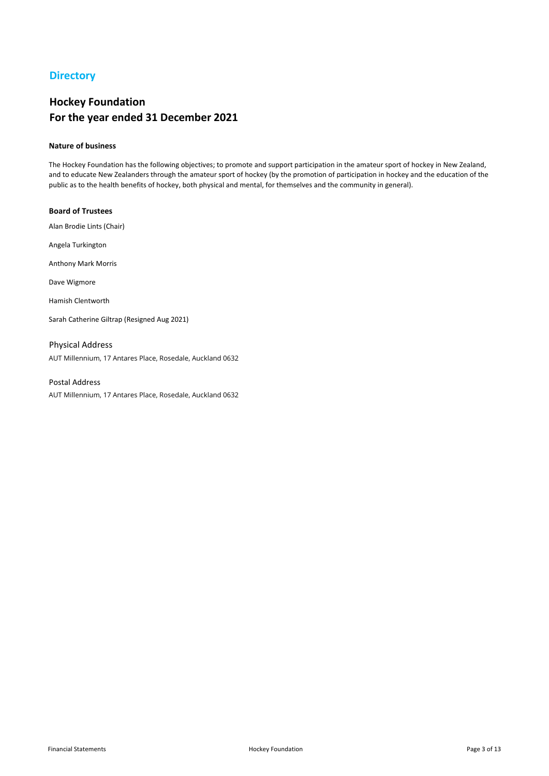## **Directory**

## **Hockey Foundation For the year ended 31 December 2021**

### **Nature of business**

The Hockey Foundation has the following objectives; to promote and support participation in the amateur sport of hockey in New Zealand, and to educate New Zealanders through the amateur sport of hockey (by the promotion of participation in hockey and the education of the public as to the health benefits of hockey, both physical and mental, for themselves and the community in general).

#### **Board of Trustees**

Alan Brodie Lints (Chair)

Angela Turkington

Anthony Mark Morris

Dave Wigmore

Hamish Clentworth

Sarah Catherine Giltrap (Resigned Aug 2021)

AUT Millennium, 17 Antares Place, Rosedale, Auckland 0632 Physical Address

## Postal Address

AUT Millennium, 17 Antares Place, Rosedale, Auckland 0632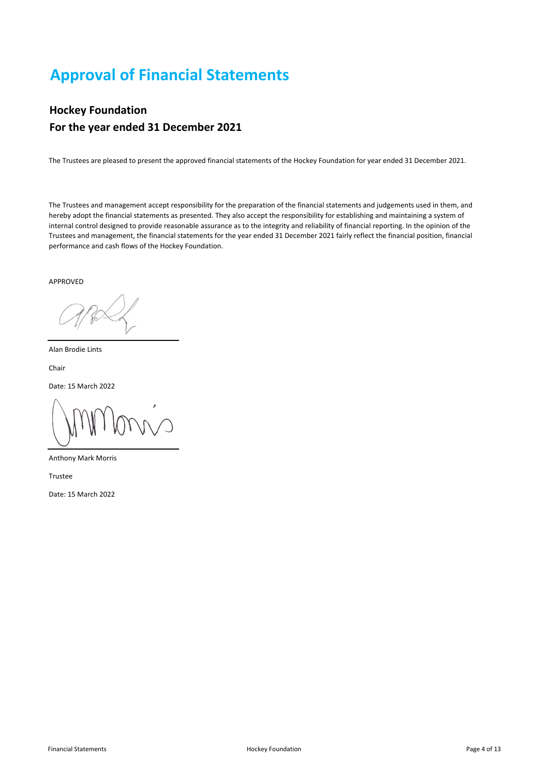## **Approval of Financial Statements**

## **Hockey Foundation For the year ended 31 December 2021**

The Trustees are pleased to present the approved financial statements of the Hockey Foundation for year ended 31 December 2021.

The Trustees and management accept responsibility for the preparation of the financial statements and judgements used in them, and hereby adopt the financial statements as presented. They also accept the responsibility for establishing and maintaining a system of internal control designed to provide reasonable assurance as to the integrity and reliability of financial reporting. In the opinion of the Trustees and management, the financial statements for the year ended 31 December 2021 fairly reflect the financial position, financial performance and cash flows of the Hockey Foundation.

APPROVED

Alan Brodie Lints

Chair

Date: 15 March 2022

Anthony Mark Morris

Trustee

Date: 15 March 2022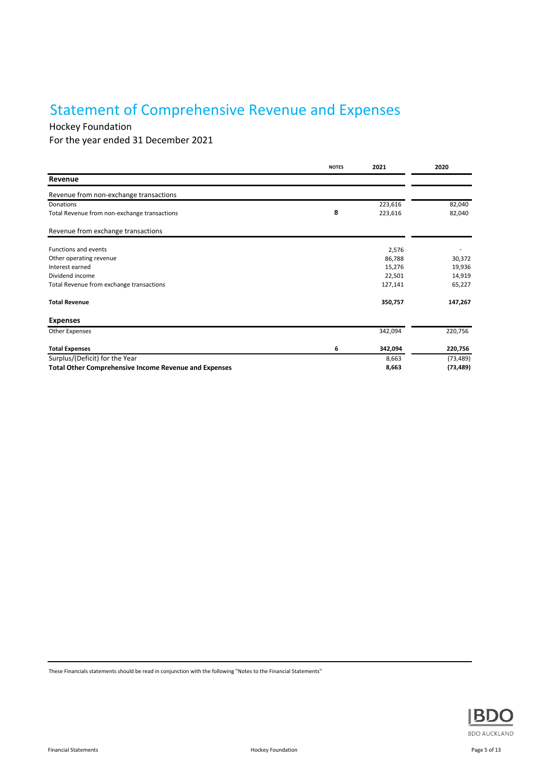## Statement of Comprehensive Revenue and Expenses

## Hockey Foundation

For the year ended 31 December 2021

|                                                              | <b>NOTES</b> | 2021    | 2020      |
|--------------------------------------------------------------|--------------|---------|-----------|
| Revenue                                                      |              |         |           |
| Revenue from non-exchange transactions                       |              |         |           |
| Donations                                                    |              | 223,616 | 82,040    |
| Total Revenue from non-exchange transactions                 | 8            | 223,616 | 82,040    |
| Revenue from exchange transactions                           |              |         |           |
| <b>Functions and events</b>                                  |              | 2,576   |           |
| Other operating revenue                                      |              | 86,788  | 30,372    |
| Interest earned                                              |              | 15,276  | 19,936    |
| Dividend income                                              |              | 22,501  | 14,919    |
| Total Revenue from exchange transactions                     |              | 127,141 | 65,227    |
| <b>Total Revenue</b>                                         |              | 350,757 | 147,267   |
| <b>Expenses</b>                                              |              |         |           |
| <b>Other Expenses</b>                                        |              | 342,094 | 220,756   |
| <b>Total Expenses</b>                                        | 6            | 342,094 | 220,756   |
| Surplus/(Deficit) for the Year                               |              | 8,663   | (73, 489) |
| <b>Total Other Comprehensive Income Revenue and Expenses</b> |              | 8,663   | (73, 489) |

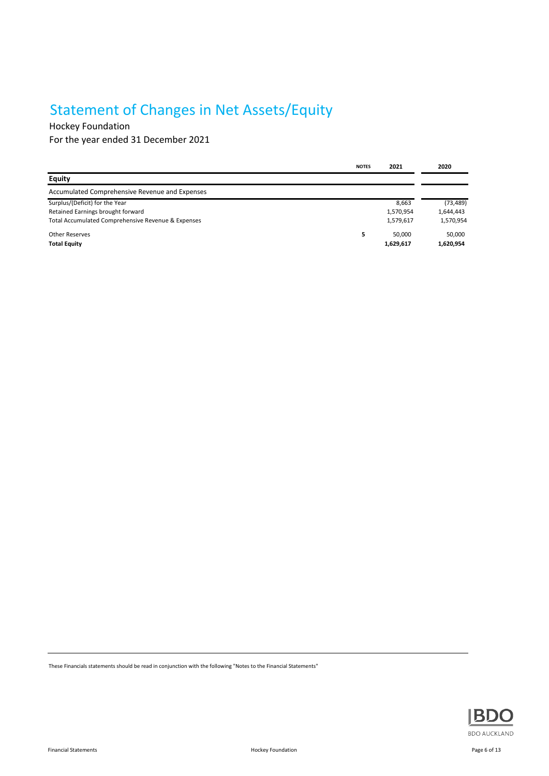## Statement of Changes in Net Assets/Equity

Hockey Foundation

For the year ended 31 December 2021

|                                                    | <b>NOTES</b> | 2021      | 2020      |
|----------------------------------------------------|--------------|-----------|-----------|
| <b>Equity</b>                                      |              |           |           |
| Accumulated Comprehensive Revenue and Expenses     |              |           |           |
| Surplus/(Deficit) for the Year                     |              | 8,663     | (73, 489) |
| Retained Earnings brought forward                  |              | 1,570,954 | 1,644,443 |
| Total Accumulated Comprehensive Revenue & Expenses |              | 1,579,617 | 1,570,954 |
| <b>Other Reserves</b>                              | 5.           | 50.000    | 50,000    |
| <b>Total Equity</b>                                |              | 1,629,617 | 1,620,954 |

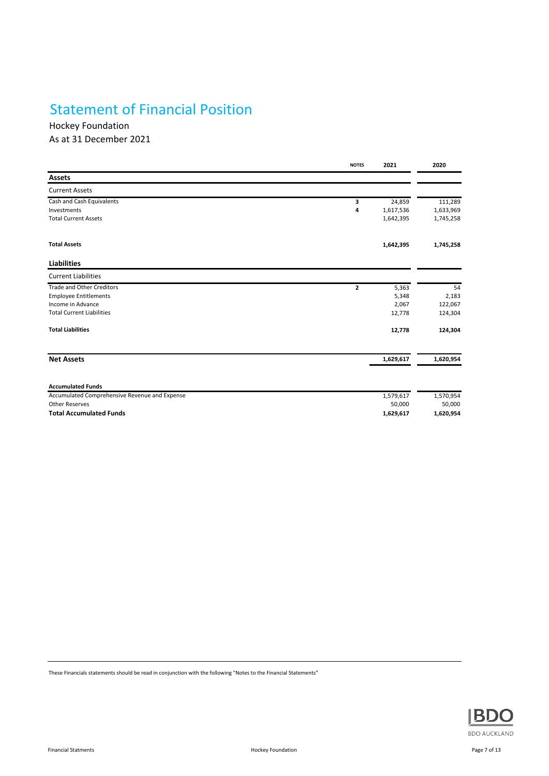## Statement of Financial Position

Hockey Foundation As at 31 December 2021

|                                               | <b>NOTES</b>   | 2021      | 2020      |
|-----------------------------------------------|----------------|-----------|-----------|
| <b>Assets</b>                                 |                |           |           |
| <b>Current Assets</b>                         |                |           |           |
| Cash and Cash Equivalents                     | 3              | 24,859    | 111,289   |
| Investments                                   | 4              | 1,617,536 | 1,633,969 |
| <b>Total Current Assets</b>                   |                | 1,642,395 | 1,745,258 |
| <b>Total Assets</b>                           |                | 1,642,395 | 1,745,258 |
| <b>Liabilities</b>                            |                |           |           |
| <b>Current Liabilities</b>                    |                |           |           |
| <b>Trade and Other Creditors</b>              | $\overline{2}$ | 5,363     | 54        |
| <b>Employee Entitlements</b>                  |                | 5,348     | 2,183     |
| Income in Advance                             |                | 2,067     | 122,067   |
| <b>Total Current Liabilities</b>              |                | 12,778    | 124,304   |
| <b>Total Liabilities</b>                      |                | 12,778    | 124,304   |
| <b>Net Assets</b>                             |                | 1,629,617 | 1,620,954 |
|                                               |                |           |           |
| <b>Accumulated Funds</b>                      |                |           |           |
| Accumulated Comprehensive Revenue and Expense |                | 1,579,617 | 1,570,954 |
| <b>Other Reserves</b>                         |                | 50,000    | 50,000    |
| <b>Total Accumulated Funds</b>                |                | 1,629,617 | 1,620,954 |

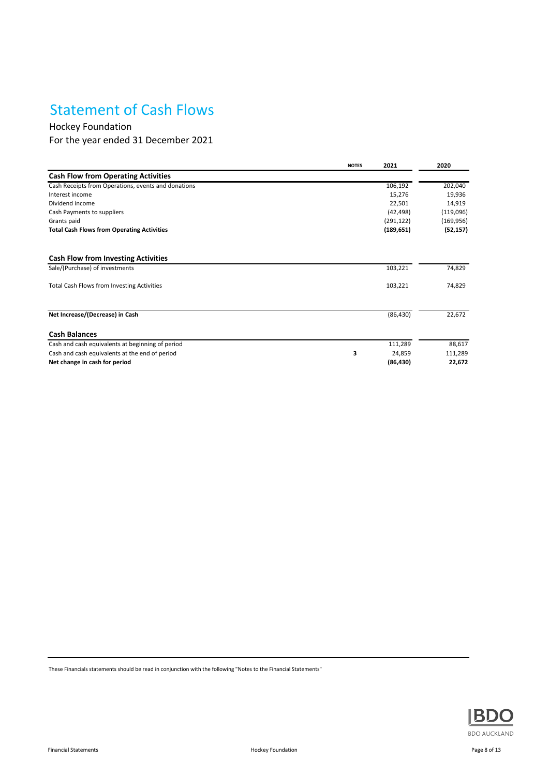## Statement of Cash Flows

Hockey Foundation

For the year ended 31 December 2021

|                                                     | <b>NOTES</b> | 2021       | 2020       |
|-----------------------------------------------------|--------------|------------|------------|
| <b>Cash Flow from Operating Activities</b>          |              |            |            |
| Cash Receipts from Operations, events and donations |              | 106,192    | 202,040    |
| Interest income                                     |              | 15,276     | 19,936     |
| Dividend income                                     |              | 22,501     | 14,919     |
| Cash Payments to suppliers                          |              | (42, 498)  | (119,096)  |
| Grants paid                                         |              | (291, 122) | (169, 956) |
| <b>Total Cash Flows from Operating Activities</b>   |              | (189, 651) | (52, 157)  |
| <b>Cash Flow from Investing Activities</b>          |              |            |            |
| Sale/(Purchase) of investments                      |              | 103,221    | 74,829     |
| <b>Total Cash Flows from Investing Activities</b>   |              | 103,221    | 74,829     |
| Net Increase/(Decrease) in Cash                     |              | (86, 430)  | 22,672     |
| <b>Cash Balances</b>                                |              |            |            |
| Cash and cash equivalents at beginning of period    |              | 111,289    | 88,617     |
| Cash and cash equivalents at the end of period      | 3            | 24,859     | 111,289    |
| Net change in cash for period                       |              | (86, 430)  | 22,672     |

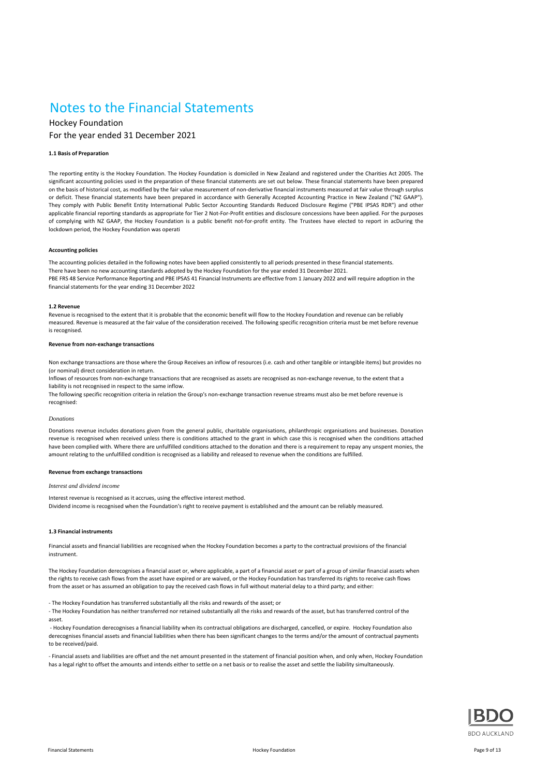## Notes to the Financial Statements

## Hockey Foundation For the year ended 31 December 2021

#### **1.1 Basis of Preparation**

The reporting entity is the Hockey Foundation. The Hockey Foundation is domiciled in New Zealand and registered under the Charities Act 2005. The significant accounting policies used in the preparation of these financial statements are set out below. These financial statements have been prepared on the basis of historical cost, as modified by the fair value measurement of non-derivative financial instruments measured at fair value through surplus or deficit. These financial statements have been prepared in accordance with Generally Accepted Accounting Practice in New Zealand ("NZ GAAP"). They comply with Public Benefit Entity International Public Sector Accounting Standards Reduced Disclosure Regime ("PBE IPSAS RDR") and other applicable financial reporting standards as appropriate for Tier 2 Not-For-Profit entities and disclosure concessions have been applied. For the purposes of complying with NZ GAAP, the Hockey Foundation is a public benefit not-for-profit entity. The Trustees have elected to report in acDuring the lockdown period, the Hockey Foundation was operati

#### **Accounting policies**

The accounting policies detailed in the following notes have been applied consistently to all periods presented in these financial statements. There have been no new accounting standards adopted by the Hockey Foundation for the year ended 31 December 2021. PBE FRS 48 Service Performance Reporting and PBE IPSAS 41 Financial Instruments are effective from 1 January 2022 and will require adoption in the financial statements for the year ending 31 December 2022

#### **1.2 Revenue**

Revenue is recognised to the extent that it is probable that the economic benefit will flow to the Hockey Foundation and revenue can be reliably measured. Revenue is measured at the fair value of the consideration received. The following specific recognition criteria must be met before revenue is recognised.

#### **Revenue from non-exchange transactions**

Non exchange transactions are those where the Group Receives an inflow of resources (i.e. cash and other tangible or intangible items) but provides no (or nominal) direct consideration in return.

Inflows of resources from non-exchange transactions that are recognised as assets are recognised as non-exchange revenue, to the extent that a liability is not recognised in respect to the same inflow.

The following specific recognition criteria in relation the Group's non-exchange transaction revenue streams must also be met before revenue is recognised:

#### *Donations*

Donations revenue includes donations given from the general public, charitable organisations, philanthropic organisations and businesses. Donation revenue is recognised when received unless there is conditions attached to the grant in which case this is recognised when the conditions attached have been complied with. Where there are unfulfilled conditions attached to the donation and there is a requirement to repay any unspent monies, the amount relating to the unfulfilled condition is recognised as a liability and released to revenue when the conditions are fulfilled.

#### **Revenue from exchange transactions**

#### *Interest and dividend income*

Interest revenue is recognised as it accrues, using the effective interest method. Dividend income is recognised when the Foundation's right to receive payment is established and the amount can be reliably measured.

#### **1.3 Financial instruments**

Financial assets and financial liabilities are recognised when the Hockey Foundation becomes a party to the contractual provisions of the financial instrument.

The Hockey Foundation derecognises a financial asset or, where applicable, a part of a financial asset or part of a group of similar financial assets when the rights to receive cash flows from the asset have expired or are waived, or the Hockey Foundation has transferred its rights to receive cash flows from the asset or has assumed an obligation to pay the received cash flows in full without material delay to a third party; and either:

- The Hockey Foundation has transferred substantially all the risks and rewards of the asset; or

- The Hockey Foundation has neither transferred nor retained substantially all the risks and rewards of the asset, but has transferred control of the asset.

 - Hockey Foundation derecognises a financial liability when its contractual obligations are discharged, cancelled, or expire. Hockey Foundation also derecognises financial assets and financial liabilities when there has been significant changes to the terms and/or the amount of contractual payments to be received/paid.

- Financial assets and liabilities are offset and the net amount presented in the statement of financial position when, and only when, Hockey Foundation has a legal right to offset the amounts and intends either to settle on a net basis or to realise the asset and settle the liability simultaneously.

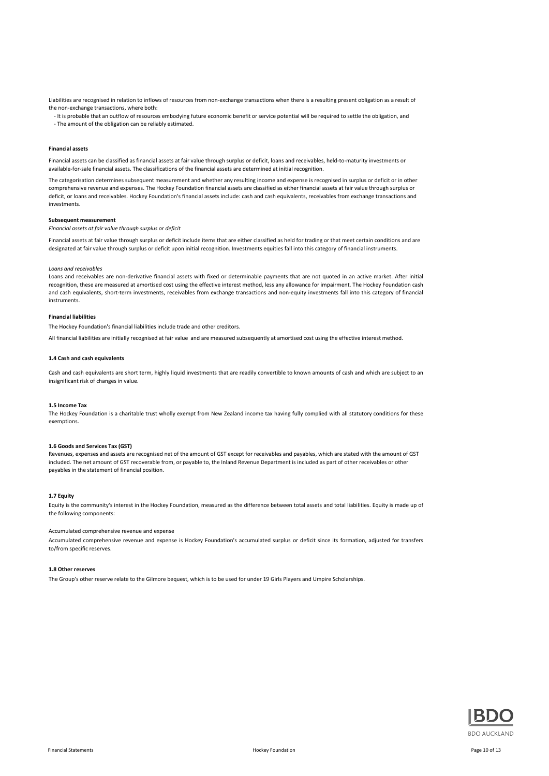Liabilities are recognised in relation to inflows of resources from non-exchange transactions when there is a resulting present obligation as a result of the non-exchange transactions, where both:

 - It is probable that an outflow of resources embodying future economic benefit or service potential will be required to settle the obligation, and - The amount of the obligation can be reliably estimated.

#### **Financial assets**

Financial assets can be classified as financial assets at fair value through surplus or deficit, loans and receivables, held-to-maturity investments or available-for-sale financial assets. The classifications of the financial assets are determined at initial recognition.

The categorisation determines subsequent measurement and whether any resulting income and expense is recognised in surplus or deficit or in other comprehensive revenue and expenses. The Hockey Foundation financial assets are classified as either financial assets at fair value through surplus or deficit, or loans and receivables. Hockey Foundation's financial assets include: cash and cash equivalents, receivables from exchange transactions and investments.

#### **Subsequent measurement**

*Financial assets at fair value through surplus or deficit*

Financial assets at fair value through surplus or deficit include items that are either classified as held for trading or that meet certain conditions and are designated at fair value through surplus or deficit upon initial recognition. Investments equities fall into this category of financial instruments.

#### *Loans and receivables*

Loans and receivables are non-derivative financial assets with fixed or determinable payments that are not quoted in an active market. After initial recognition, these are measured at amortised cost using the effective interest method, less any allowance for impairment. The Hockey Foundation cash and cash equivalents, short-term investments, receivables from exchange transactions and non-equity investments fall into this category of financial instruments.

#### **Financial liabilities**

The Hockey Foundation's financial liabilities include trade and other creditors.

All financial liabilities are initially recognised at fair value and are measured subsequently at amortised cost using the effective interest method.

#### **1.4 Cash and cash equivalents**

Cash and cash equivalents are short term, highly liquid investments that are readily convertible to known amounts of cash and which are subject to an insignificant risk of changes in value.

#### **1.5 Income Tax**

The Hockey Foundation is a charitable trust wholly exempt from New Zealand income tax having fully complied with all statutory conditions for these exemptions.

#### **1.6 Goods and Services Tax (GST)**

Revenues, expenses and assets are recognised net of the amount of GST except for receivables and payables, which are stated with the amount of GST included. The net amount of GST recoverable from, or payable to, the Inland Revenue Department is included as part of other receivables or other payables in the statement of financial position.

#### **1.7 Equity**

Equity is the community's interest in the Hockey Foundation, measured as the difference between total assets and total liabilities. Equity is made up of the following components:

#### Accumulated comprehensive revenue and expense

Accumulated comprehensive revenue and expense is Hockey Foundation's accumulated surplus or deficit since its formation, adjusted for transfers to/from specific reserves.

#### **1.8 Other reserves**

The Group's other reserve relate to the Gilmore bequest, which is to be used for under 19 Girls Players and Umpire Scholarships.

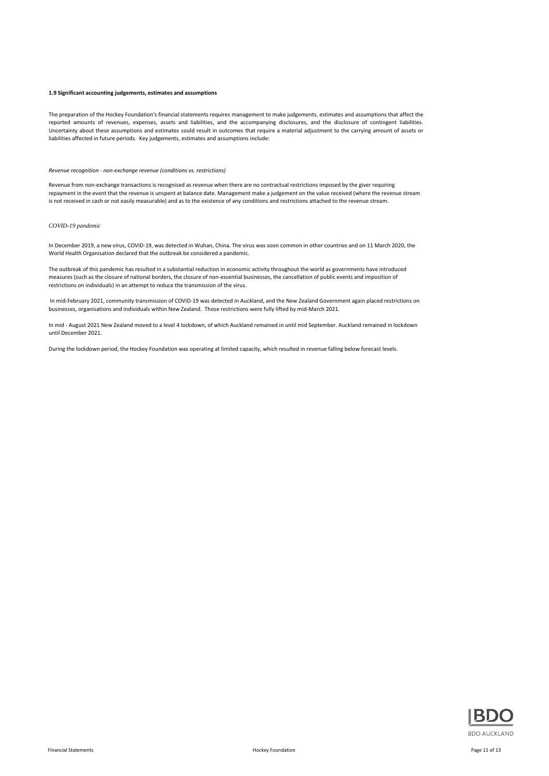#### **1.9 Significant accounting judgements, estimates and assumptions**

The preparation of the Hockey Foundation's financial statements requires management to make judgements, estimates and assumptions that affect the reported amounts of revenues, expenses, assets and liabilities, and the accompanying disclosures, and the disclosure of contingent liabilities. Uncertainty about these assumptions and estimates could result in outcomes that require a material adjustment to the carrying amount of assets or liabilities affected in future periods. Key judgements, estimates and assumptions include:

#### *Revenue recognition - non-exchange revenue (conditions vs. restrictions)*

Revenue from non-exchange transactions is recognised as revenue when there are no contractual restrictions imposed by the giver requiring repayment in the event that the revenue is unspent at balance date. Management make a judgement on the value received (where the revenue stream is not received in cash or not easily measurable) and as to the existence of any conditions and restrictions attached to the revenue stream.

#### *COVID-19 pandemic*

In December 2019, a new virus, COVID-19, was detected in Wuhan, China. The virus was soon common in other countries and on 11 March 2020, the World Health Organisation declared that the outbreak be considered a pandemic.

The outbreak of this pandemic has resulted in a substantial reduction in economic activity throughout the world as governments have introduced measures (such as the closure of national borders, the closure of non-essential businesses, the cancellation of public events and imposition of restrictions on individuals) in an attempt to reduce the transmission of the virus.

 In mid-February 2021, community transmission of COVID-19 was detected in Auckland, and the New Zealand Government again placed restrictions on businesses, organisations and individuals within New Zealand. Those restrictions were fully lifted by mid-March 2021.

In mid - August 2021 New Zealand moved to a level 4 lockdown, of which Auckland remained in until mid September. Auckland remained in lockdown until December 2021.

During the lockdown period, the Hockey Foundation was operating at limited capacity, which resulted in revenue falling below forecast levels.

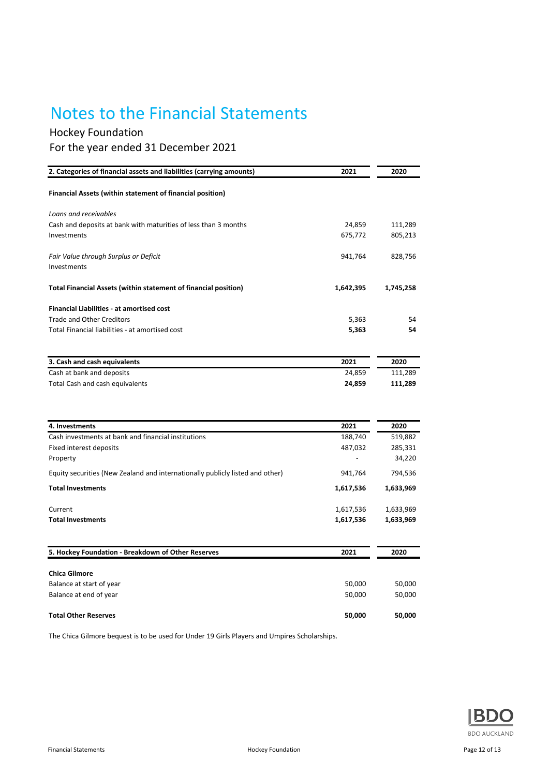## Notes to the Financial Statements

## Hockey Foundation For the year ended 31 December 2021

| 2. Categories of financial assets and liabilities (carrying amounts) | 2021      | 2020      |
|----------------------------------------------------------------------|-----------|-----------|
| Financial Assets (within statement of financial position)            |           |           |
| Loans and receivables                                                |           |           |
| Cash and deposits at bank with maturities of less than 3 months      | 24.859    | 111,289   |
| Investments                                                          | 675,772   | 805,213   |
| Fair Value through Surplus or Deficit<br>Investments                 | 941,764   | 828,756   |
| Total Financial Assets (within statement of financial position)      | 1,642,395 | 1,745,258 |
| <b>Financial Liabilities - at amortised cost</b>                     |           |           |
| Trade and Other Creditors                                            | 5,363     | 54        |
| Total Financial liabilities - at amortised cost                      | 5,363     | 54        |
| 3. Cash and cash equivalents                                         | 2021      | 2020      |
| Cash at bank and deposits                                            | 24,859    | 111,289   |
| Total Cash and cash equivalents                                      | 24,859    | 111,289   |
|                                                                      |           |           |

| 4. Investments                                                                | 2021      | 2020      |
|-------------------------------------------------------------------------------|-----------|-----------|
| Cash investments at bank and financial institutions                           | 188,740   | 519,882   |
| Fixed interest deposits                                                       | 487,032   | 285,331   |
| Property                                                                      |           | 34,220    |
| Equity securities (New Zealand and internationally publicly listed and other) | 941,764   | 794,536   |
| <b>Total Investments</b>                                                      | 1,617,536 | 1,633,969 |
| Current                                                                       | 1,617,536 | 1,633,969 |
| <b>Total Investments</b>                                                      | 1,617,536 | 1,633,969 |
|                                                                               |           |           |
| 5. Hockey Foundation - Breakdown of Other Reserves                            | 2021      | 2020      |
| <b>Chica Gilmore</b>                                                          |           |           |
| Balance at start of year                                                      | 50,000    | 50,000    |
| Balance at end of year                                                        | 50,000    | 50,000    |
| <b>Total Other Reserves</b>                                                   | 50,000    | 50,000    |

The Chica Gilmore bequest is to be used for Under 19 Girls Players and Umpires Scholarships.